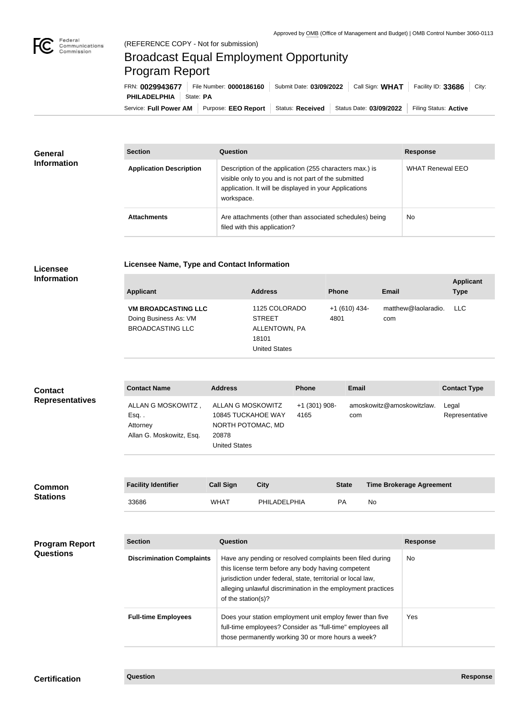

## Broadcast Equal Employment Opportunity Program Report

**Licensee Name, Type and Contact Information**

Service: Full Power AM | Purpose: EEO Report | Status: Received | Status Date: 03/09/2022 | Filing Status: Active **PHILADELPHIA** | State: PA FRN: **0029943677** File Number: **0000186160** Submit Date: **03/09/2022** Call Sign: **WHAT** Facility ID: **33686** City:

| <b>General</b>     | <b>Section</b>                 | <b>Question</b>                                                                                                                                                                         | <b>Response</b>         |
|--------------------|--------------------------------|-----------------------------------------------------------------------------------------------------------------------------------------------------------------------------------------|-------------------------|
| <b>Information</b> | <b>Application Description</b> | Description of the application (255 characters max.) is<br>visible only to you and is not part of the submitted<br>application. It will be displayed in your Applications<br>workspace. | <b>WHAT Renewal EEO</b> |
|                    | <b>Attachments</b>             | Are attachments (other than associated schedules) being<br>filed with this application?                                                                                                 | <b>No</b>               |

## **Licensee Information**

| <b>Applicant</b>                                                               | <b>Address</b>                                                                   | <b>Phone</b>           | Email                      | <b>Applicant</b><br><b>Type</b> |
|--------------------------------------------------------------------------------|----------------------------------------------------------------------------------|------------------------|----------------------------|---------------------------------|
| <b>VM BROADCASTING LLC</b><br>Doing Business As: VM<br><b>BROADCASTING LLC</b> | 1125 COLORADO<br><b>STREET</b><br>ALLENTOWN, PA<br>18101<br><b>United States</b> | $+1(610)$ 434-<br>4801 | matthew@laolaradio.<br>com | <b>LLC</b>                      |

| <b>Contact</b>         | <b>Contact Name</b>                                               | <b>Address</b>                                                                                | <b>Phone</b>          | <b>Email</b>                     | <b>Contact Type</b>     |
|------------------------|-------------------------------------------------------------------|-----------------------------------------------------------------------------------------------|-----------------------|----------------------------------|-------------------------|
| <b>Representatives</b> | ALLAN G MOSKOWITZ,<br>Esq<br>Attorney<br>Allan G. Moskowitz, Esq. | ALLAN G MOSKOWITZ<br>10845 TUCKAHOE WAY<br>NORTH POTOMAC, MD<br>20878<br><b>United States</b> | +1 (301) 908-<br>4165 | amoskowitz@amoskowitzlaw.<br>com | Legal<br>Representative |

| <b>Common</b>   | <b>Facility Identifier</b> | <b>Call Sign</b> | <b>City</b>  | <b>State</b> | <b>Time Brokerage Agreement</b> |
|-----------------|----------------------------|------------------|--------------|--------------|---------------------------------|
| <b>Stations</b> | 33686                      | <b>WHAT</b>      | PHILADELPHIA | <b>PA</b>    | No                              |

| <b>Program Report</b> | <b>Section</b>                   | <b>Question</b>                                                                                                                                                                                                                                                       | <b>Response</b> |
|-----------------------|----------------------------------|-----------------------------------------------------------------------------------------------------------------------------------------------------------------------------------------------------------------------------------------------------------------------|-----------------|
| <b>Questions</b>      | <b>Discrimination Complaints</b> | Have any pending or resolved complaints been filed during<br>this license term before any body having competent<br>jurisdiction under federal, state, territorial or local law,<br>alleging unlawful discrimination in the employment practices<br>of the station(s)? | No.             |
|                       | <b>Full-time Employees</b>       | Does your station employment unit employ fewer than five<br>full-time employees? Consider as "full-time" employees all<br>those permanently working 30 or more hours a week?                                                                                          | Yes.            |